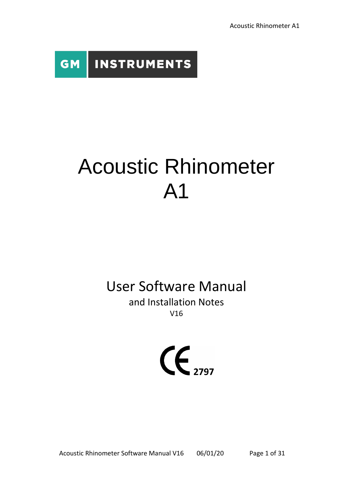**INSTRUMENTS GM** 

# Acoustic Rhinometer A1

## User Software Manual

and Installation Notes V16



Acoustic Rhinometer Software Manual V16 06/01/20 Page 1 of 31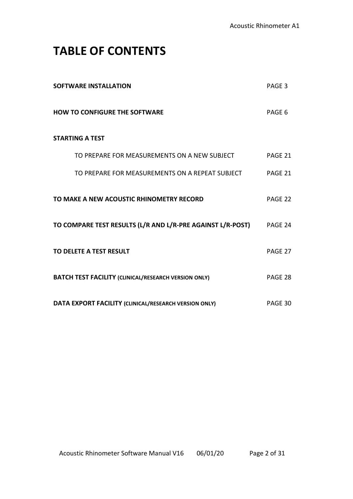## **TABLE OF CONTENTS**

| <b>SOFTWARE INSTALLATION</b>                                | PAGE 3  |
|-------------------------------------------------------------|---------|
| <b>HOW TO CONFIGURE THE SOFTWARE</b>                        | PAGE 6  |
| <b>STARTING A TEST</b>                                      |         |
| TO PREPARE FOR MEASUREMENTS ON A NEW SUBJECT                | PAGE 21 |
| TO PREPARE FOR MEASUREMENTS ON A REPEAT SUBJECT             | PAGE 21 |
| TO MAKE A NEW ACOUSTIC RHINOMETRY RECORD                    | PAGE 22 |
| TO COMPARE TEST RESULTS (L/R AND L/R-PRE AGAINST L/R-POST)  | PAGE 24 |
| TO DELETE A TEST RESULT                                     | PAGE 27 |
| <b>BATCH TEST FACILITY (CLINICAL/RESEARCH VERSION ONLY)</b> | PAGE 28 |
| DATA EXPORT FACILITY (CLINICAL/RESEARCH VERSION ONLY)       | PAGE 30 |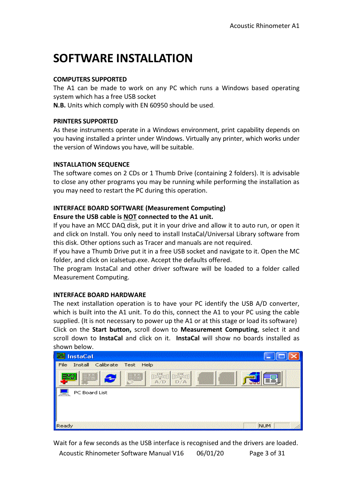## **SOFTWARE INSTALLATION**

#### **COMPUTERS SUPPORTED**

The A1 can be made to work on any PC which runs a Windows based operating system which has a free USB socket

**N.B.** Units which comply with EN 60950 should be used.

#### **PRINTERS SUPPORTED**

As these instruments operate in a Windows environment, print capability depends on you having installed a printer under Windows. Virtually any printer, which works under the version of Windows you have, will be suitable.

#### **INSTALLATION SEQUENCE**

The software comes on 2 CDs or 1 Thumb Drive (containing 2 folders). It is advisable to close any other programs you may be running while performing the installation as you may need to restart the PC during this operation.

#### **INTERFACE BOARD SOFTWARE (Measurement Computing)**

#### **Ensure the USB cable is NOT connected to the A1 unit.**

If you have an MCC DAQ disk, put it in your drive and allow it to auto run, or open it and click on Install. You only need to install InstaCal/Universal Library software from this disk. Other options such as Tracer and manuals are not required.

If you have a Thumb Drive put it in a free USB socket and navigate to it. Open the MC folder, and click on icalsetup.exe. Accept the defaults offered.

The program InstaCal and other driver software will be loaded to a folder called Measurement Computing.

#### **INTERFACE BOARD HARDWARE**

The next installation operation is to have your PC identify the USB A/D converter, which is built into the A1 unit. To do this, connect the A1 to your PC using the cable supplied. (It is not necessary to power up the A1 or at this stage or load its software) Click on the **Start button,** scroll down to **Measurement Computing**, select it and scroll down to **InstaCal** and click on it. **InstaCal** will show no boards installed as shown below.

| <b>InstaCal</b>                        |            |
|----------------------------------------|------------|
| Install Calibrate<br>File<br>Test Help |            |
| $\bullet$                              | 三三         |
| PC Board List                          |            |
|                                        |            |
|                                        |            |
| Ready                                  | <b>NUM</b> |

Acoustic Rhinometer Software Manual V16 06/01/20 Page 3 of 31 Wait for a few seconds as the USB interface is recognised and the drivers are loaded.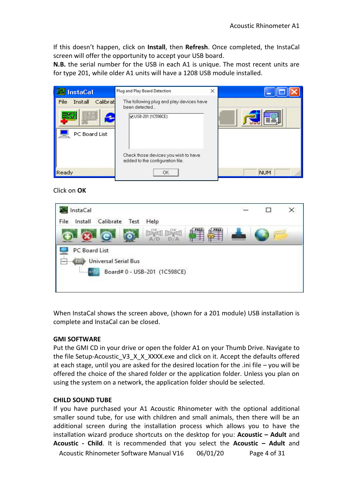If this doesn't happen, click on **Install**, then **Refresh**. Once completed, the InstaCal screen will offer the opportunity to accept your USB board.

**N.B.** the serial number for the USB in each A1 is unique. The most recent units are for type 201, while older A1 units will have a 1208 USB module installed.

| <b>InstaCal</b>                              | Plug and Play Board Detection                                                   | × |            |
|----------------------------------------------|---------------------------------------------------------------------------------|---|------------|
| Calibrat<br>Install<br>File<br>PC Board List | The following plug and play devices have<br>been detected<br>VUSB-201 (1C598CE) |   | ≣∃         |
| Ready                                        | Check those devices you wish to have<br>added to the configuration file.<br>OK  |   | <b>NUM</b> |

Click on **OK**



When InstaCal shows the screen above, (shown for a 201 module) USB installation is complete and InstaCal can be closed.

#### **GMI SOFTWARE**

Put the GMI CD in your drive or open the folder A1 on your Thumb Drive. Navigate to the file Setup-Acoustic\_V3\_X\_X\_XXXX.exe and click on it. Accept the defaults offered at each stage, until you are asked for the desired location for the .ini file – you will be offered the choice of the shared folder or the application folder. Unless you plan on using the system on a network, the application folder should be selected.

#### **CHILD SOUND TUBE**

Acoustic Rhinometer Software Manual V16 06/01/20 Page 4 of 31 If you have purchased your A1 Acoustic Rhinometer with the optional additional smaller sound tube, for use with children and small animals, then there will be an additional screen during the installation process which allows you to have the installation wizard produce shortcuts on the desktop for you: **Acoustic – Adult** and **Acoustic - Child**. It is recommended that you select the **Acoustic – Adult** and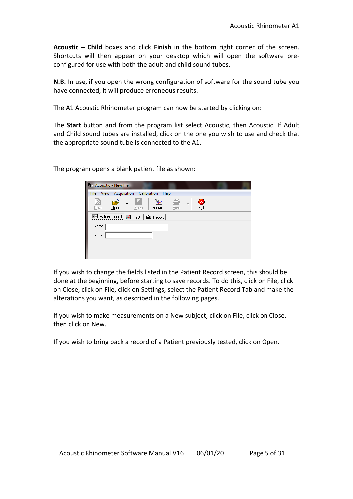**Acoustic – Child** boxes and click **Finish** in the bottom right corner of the screen. Shortcuts will then appear on your desktop which will open the software preconfigured for use with both the adult and child sound tubes.

**N.B.** In use, if you open the wrong configuration of software for the sound tube you have connected, it will produce erroneous results.

The A1 Acoustic Rhinometer program can now be started by clicking on:

The **Start** button and from the program list select Acoustic, then Acoustic. If Adult and Child sound tubes are installed, click on the one you wish to use and check that the appropriate sound tube is connected to the A1.

The program opens a blank patient file as shown:

|           | <sup>9</sup> <sub>21</sub> Acoustic - New file |                              |                |         |           |  |
|-----------|------------------------------------------------|------------------------------|----------------|---------|-----------|--|
| File View |                                                | Acquisition Calibration Help |                |         |           |  |
| New       | €<br>Open                                      | Save                         | kμ<br>Acoustic | - Print | B<br>Exit |  |
|           | Fill Patient record Fill Tests   St Report     |                              |                |         |           |  |
| Name      |                                                |                              |                |         |           |  |
| ID no.    |                                                |                              |                |         |           |  |
|           |                                                |                              |                |         |           |  |
|           |                                                |                              |                |         |           |  |

If you wish to change the fields listed in the Patient Record screen, this should be done at the beginning, before starting to save records. To do this, click on File, click on Close, click on File, click on Settings, select the Patient Record Tab and make the alterations you want, as described in the following pages.

If you wish to make measurements on a New subject, click on File, click on Close, then click on New.

If you wish to bring back a record of a Patient previously tested, click on Open.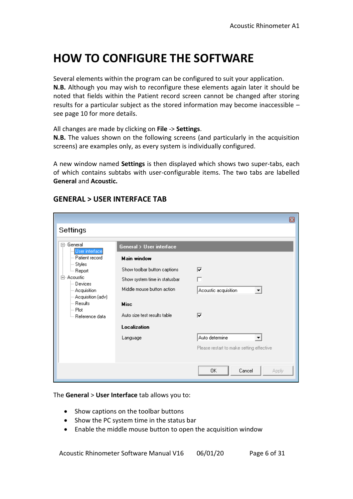## **HOW TO CONFIGURE THE SOFTWARE**

Several elements within the program can be configured to suit your application. **N.B.** Although you may wish to reconfigure these elements again later it should be noted that fields within the Patient record screen cannot be changed after storing results for a particular subject as the stored information may become inaccessible – see page 10 for more details.

All changes are made by clicking on **File** -> **Settings**.

**N.B.** The values shown on the following screens (and particularly in the acquisition screens) are examples only, as every system is individually configured.

A new window named **Settings** is then displayed which shows two super-tabs, each of which contains subtabs with user-configurable items. The two tabs are labelled **General** and **Acoustic.**

|                                                                                                                                                                                                                    |                                                                                                                                                                                                                                     | 囫                                                                                                                                            |
|--------------------------------------------------------------------------------------------------------------------------------------------------------------------------------------------------------------------|-------------------------------------------------------------------------------------------------------------------------------------------------------------------------------------------------------------------------------------|----------------------------------------------------------------------------------------------------------------------------------------------|
| Settings                                                                                                                                                                                                           |                                                                                                                                                                                                                                     |                                                                                                                                              |
| ⊟- General<br>User interface<br>- Patient record<br>⊱ Styles<br><sup>i…</sup> Report<br>白- Acoustic<br>— Devices<br>-- Acquisition<br>- Acquisition (adv)<br>⊸ Results.<br>l— Plot<br><sup>i</sup> Reference data. | <b>General &gt; User interface</b><br><b>Main window</b><br>Show toolbar button captions<br>Show system time in statusbar<br>Middle mouse button action.<br><b>Misc</b><br>Auto size test results table<br>Localization<br>Language | ⊽<br>Acoustic acquisition<br>$\blacktriangledown$<br>⊽<br>Auto determine<br>$\blacktriangledown$<br>Please restart to make setting effective |
|                                                                                                                                                                                                                    |                                                                                                                                                                                                                                     | 0K<br>Cancel<br>Apply                                                                                                                        |

#### **GENERAL > USER INTERFACE TAB**

The **General** > **User Interface** tab allows you to:

- Show captions on the toolbar buttons
- Show the PC system time in the status bar
- Enable the middle mouse button to open the acquisition window

Acoustic Rhinometer Software Manual V16 06/01/20 Page 6 of 31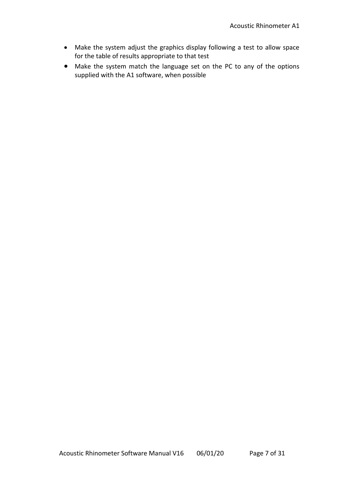- Make the system adjust the graphics display following a test to allow space for the table of results appropriate to that test
- Make the system match the language set on the PC to any of the options supplied with the A1 software, when possible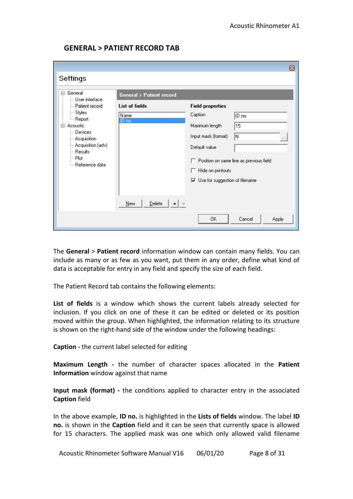| ⊡- General<br>└─ User interface                                                                                                                                                   | <b>General &gt; Patient record</b> |                                                                                                                                                                                                                                            |
|-----------------------------------------------------------------------------------------------------------------------------------------------------------------------------------|------------------------------------|--------------------------------------------------------------------------------------------------------------------------------------------------------------------------------------------------------------------------------------------|
| Patient record<br>⊱ Styles<br><sup>i</sup> Report<br>Acoustic<br>Ėŀ<br>Devices<br>-- Acquisition<br>--- Acquisition (adv)<br>— Resultsi<br>l… Plot<br><sup>i</sup> Reference data | List of fields<br>Name<br>IID no.  | <b>Field properties</b><br>Caption<br>ID no.<br>15<br>Maximum length<br>lN.<br>Input mask (format)<br>$\cdots$<br>Default value<br>Position on same line as previous field<br>Hide on printouts<br>$\nabla$ Use for suggestion of filename |
|                                                                                                                                                                                   | Delete<br><b>New</b>               |                                                                                                                                                                                                                                            |

#### **GENERAL > PATIENT RECORD TAB**

The **General** > **Patient record** information window can contain many fields. You can include as many or as few as you want, put them in any order, define what kind of data is acceptable for entry in any field and specify the size of each field.

The Patient Record tab contains the following elements:

**List of fields** is a window which shows the current labels already selected for inclusion. If you click on one of these it can be edited or deleted or its position moved within the group. When highlighted, the information relating to its structure is shown on the right-hand side of the window under the following headings:

**Caption -** the current label selected for editing

**Maximum Length -** the number of character spaces allocated in the **Patient Information** window against that name

**Input mask (format) -** the conditions applied to character entry in the associated **Caption** field

In the above example, **ID no.** is highlighted in the **Lists of fields** window. The label **ID no.** is shown in the **Caption** field and it can be seen that currently space is allowed for 15 characters. The applied mask was one which only allowed valid filename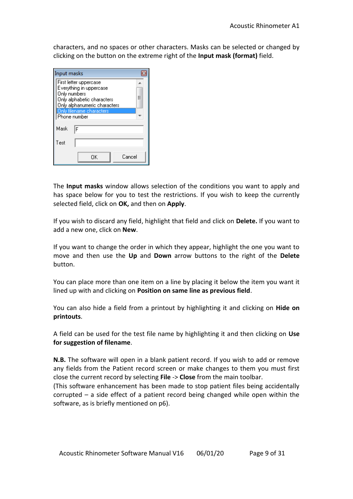characters, and no spaces or other characters. Masks can be selected or changed by clicking on the button on the extreme right of the **Input mask (format)** field.

| Input masks                                              |   |
|----------------------------------------------------------|---|
| First letter uppercase                                   |   |
| Everything in uppercase<br>Only numbers                  |   |
| Only alphabetic characters                               | Ξ |
| Only alphanumeric characters<br>Only filename characters |   |
| Phone number                                             |   |
| Mask<br>F                                                |   |
| Test                                                     |   |
| Cancel<br>ΩK                                             |   |

The **Input masks** window allows selection of the conditions you want to apply and has space below for you to test the restrictions. If you wish to keep the currently selected field, click on **OK,** and then on **Apply**.

If you wish to discard any field, highlight that field and click on **Delete.** If you want to add a new one, click on **New**.

If you want to change the order in which they appear, highlight the one you want to move and then use the **Up** and **Down** arrow buttons to the right of the **Delete**  button.

You can place more than one item on a line by placing it below the item you want it lined up with and clicking on **Position on same line as previous field**.

You can also hide a field from a printout by highlighting it and clicking on **Hide on printouts**.

A field can be used for the test file name by highlighting it and then clicking on **Use for suggestion of filename**.

**N.B.** The software will open in a blank patient record. If you wish to add or remove any fields from the Patient record screen or make changes to them you must first close the current record by selecting **File** -> **Close** from the main toolbar.

(This software enhancement has been made to stop patient files being accidentally corrupted – a side effect of a patient record being changed while open within the software, as is briefly mentioned on p6).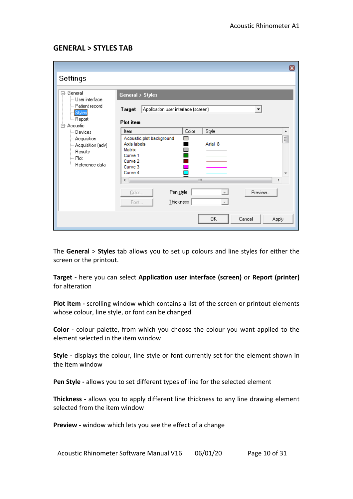#### **GENERAL > STYLES TAB**

|                                                                                                                                                                                                                          | ▣                                                                                                                                                                                                                                                                                                                                                                         |
|--------------------------------------------------------------------------------------------------------------------------------------------------------------------------------------------------------------------------|---------------------------------------------------------------------------------------------------------------------------------------------------------------------------------------------------------------------------------------------------------------------------------------------------------------------------------------------------------------------------|
| Settings                                                                                                                                                                                                                 |                                                                                                                                                                                                                                                                                                                                                                           |
| ⊟- General<br>└─ User interface<br>— Patient record<br>Styles<br><sup>i…</sup> Report<br>- Acoustic<br>Ė<br>— Devices<br>-- Acquisition<br>- Acquisition (adv)<br>i— Results.<br>⊧⊹ Plot<br><sup>i</sup> Reference data. | <b>General &gt; Styles</b><br>Application user interface (screen)<br>Target<br>$\blacktriangledown$<br><b>Plot</b> item<br>Color<br>Style<br>Item<br>A.<br>Acoustic plot background<br>E<br>$\Box$<br>Axis labels<br>Arial 8<br>Matrix<br>Curve 1<br>Curve <sub>2</sub><br>Curve 3<br>Curve 4<br>m<br>∢<br>Þ<br>Pen style<br>Preview<br>Color<br><b>Ihickness</b><br>Font |
|                                                                                                                                                                                                                          | 0K<br>Cancel<br>Apply                                                                                                                                                                                                                                                                                                                                                     |

The **General** > **Styles** tab allows you to set up colours and line styles for either the screen or the printout.

**Target -** here you can select **Application user interface (screen)** or **Report (printer)**  for alteration

**Plot Item -** scrolling window which contains a list of the screen or printout elements whose colour, line style, or font can be changed

**Color -** colour palette, from which you choose the colour you want applied to the element selected in the item window

**Style -** displays the colour, line style or font currently set for the element shown in the item window

**Pen Style -** allows you to set different types of line for the selected element

**Thickness -** allows you to apply different line thickness to any line drawing element selected from the item window

**Preview -** window which lets you see the effect of a change

Acoustic Rhinometer Software Manual V16 06/01/20 Page 10 of 31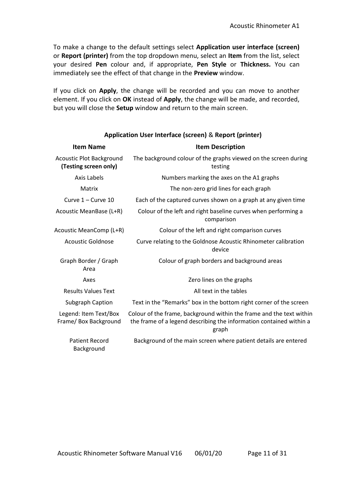To make a change to the default settings select **Application user interface (screen)** or **Report (printer)** from the top dropdown menu, select an **Item** from the list, select your desired **Pen** colour and, if appropriate, **Pen Style** or **Thickness.** You can immediately see the effect of that change in the **Preview** window.

If you click on **Apply**, the change will be recorded and you can move to another element. If you click on **OK** instead of **Apply**, the change will be made, and recorded, but you will close the **Setup** window and return to the main screen.

| <b>Item Name</b>                                         | <b>Item Description</b>                                                                                                                              |
|----------------------------------------------------------|------------------------------------------------------------------------------------------------------------------------------------------------------|
| <b>Acoustic Plot Background</b><br>(Testing screen only) | The background colour of the graphs viewed on the screen during<br>testing                                                                           |
| Axis Labels                                              | Numbers marking the axes on the A1 graphs                                                                                                            |
| Matrix                                                   | The non-zero grid lines for each graph                                                                                                               |
| Curve 1 - Curve 10                                       | Each of the captured curves shown on a graph at any given time                                                                                       |
| Acoustic MeanBase (L+R)                                  | Colour of the left and right baseline curves when performing a<br>comparison                                                                         |
| Acoustic MeanComp (L+R)                                  | Colour of the left and right comparison curves                                                                                                       |
| Acoustic Goldnose                                        | Curve relating to the Goldnose Acoustic Rhinometer calibration<br>device                                                                             |
| Graph Border / Graph<br>Area                             | Colour of graph borders and background areas                                                                                                         |
| Axes                                                     | Zero lines on the graphs                                                                                                                             |
| <b>Results Values Text</b>                               | All text in the tables                                                                                                                               |
| Subgraph Caption                                         | Text in the "Remarks" box in the bottom right corner of the screen                                                                                   |
| Legend: Item Text/Box<br>Frame/ Box Background           | Colour of the frame, background within the frame and the text within<br>the frame of a legend describing the information contained within a<br>graph |
| <b>Patient Record</b><br>Background                      | Background of the main screen where patient details are entered                                                                                      |

#### **Application User Interface (screen)** & **Report (printer)**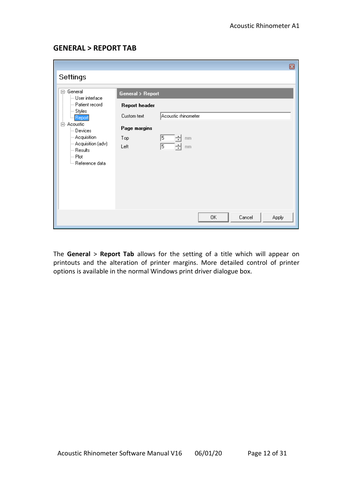#### **GENERAL > REPORT TAB**

|                                                                                                                                                                                                         |                                                                                        |                                                     |    |        | ◙     |
|---------------------------------------------------------------------------------------------------------------------------------------------------------------------------------------------------------|----------------------------------------------------------------------------------------|-----------------------------------------------------|----|--------|-------|
| Settings                                                                                                                                                                                                |                                                                                        |                                                     |    |        |       |
| 日· General<br>User interface<br>- Patient record<br>∣— Styles<br>- Report<br>白· Acoustic<br>⊢ Devices<br>$-$ Acquisition<br>- Acquisition (adv)<br>i— Results<br>∣— Plot<br><sup>i</sup> Reference data | <b>General</b> > Report<br>Report header<br>Custom text<br>Page margins<br>Top<br>Left | Acoustic rhinometer<br>5<br>mm<br>۰<br>5<br>÷<br>mm |    |        |       |
|                                                                                                                                                                                                         |                                                                                        |                                                     | 0K | Cancel | Apply |

The **General** > **Report Tab** allows for the setting of a title which will appear on printouts and the alteration of printer margins. More detailed control of printer options is available in the normal Windows print driver dialogue box.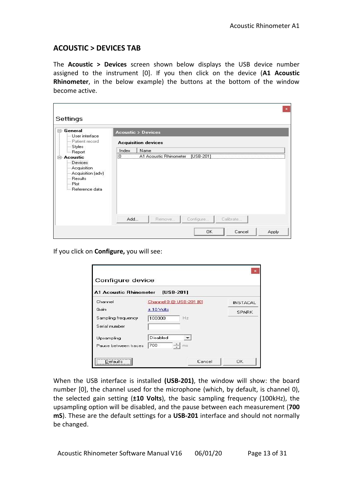#### **ACOUSTIC > DEVICES TAB**

The **Acoustic > Devices** screen shown below displays the USB device number assigned to the instrument [0]. If you then click on the device (**A1 Acoustic Rhinometer**, in the below example) the buttons at the bottom of the window become active.

| General<br>User interface                                                                               | <b>Acoustic &gt; Devices</b>                        |
|---------------------------------------------------------------------------------------------------------|-----------------------------------------------------|
| - Patient record                                                                                        | <b>Acquisition devices</b>                          |
| $-$ Styles<br><b>I.</b> Report                                                                          | Name<br>Index<br>0 A1 Acoustic Rhinometer [USB-201] |
| Devices<br>- Acquisition<br>- Acquisition (adv)<br>- Results<br>$-$ Plot<br><sup>i</sup> Reference data | Add<br>Remove<br>Configure<br>Calibrate             |

If you click on **Configure,** you will see:

| A1 Acoustic Rhinometer [USB-201] |                         |                 |
|----------------------------------|-------------------------|-----------------|
| Channel                          | Channel 0 @ USB-201 [0] | <b>INSTACAL</b> |
| Gain                             | $± 10$ Volts            | <b>SPARK</b>    |
| Sampling frequency               | 100000<br>Hz            |                 |
| Serial number                    |                         |                 |
| Upsampling                       | Disabled                |                 |
| Pause between traces             | 700<br>ms               |                 |

When the USB interface is installed **(USB-201)**, the window will show: the board number [0], the channel used for the microphone (which, by default, is channel 0), the selected gain setting (**±10 Volts**), the basic sampling frequency (100kHz), the upsampling option will be disabled, and the pause between each measurement (**700 mS**). These are the default settings for a **USB-201** interface and should not normally be changed.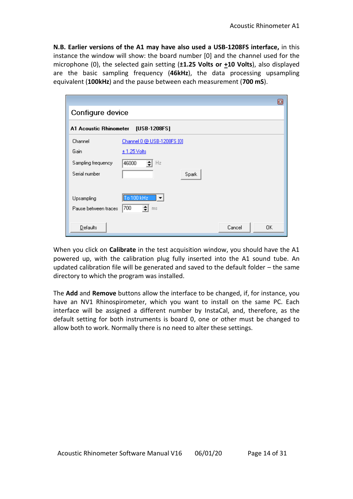**N.B. Earlier versions of the A1 may have also used a USB-1208FS interface,** in this instance the window will show: the board number [0] and the channel used for the microphone (0), the selected gain setting (**±1.25 Volts or +10 Volts**), also displayed are the basic sampling frequency (**46kHz**), the data processing upsampling equivalent (**100kHz**) and the pause between each measurement (**700 mS**).

|                        |                            |              | ▣ |
|------------------------|----------------------------|--------------|---|
| Configure device       |                            |              |   |
| A1 Acoustic Rhinometer | [USB-1208FS]               |              |   |
| Channel                | Channel 0 @ USB-1208FS [0] |              |   |
| Gain                   | $\pm$ 1.25 Volts           |              |   |
| Sampling frequency     | 46000<br>Hz                |              |   |
| Serial number          | Spark                      |              |   |
|                        |                            |              |   |
| Upsampling             | To 100 kHz<br>∣▼           |              |   |
| Pause between traces   | 700<br>ms                  |              |   |
|                        |                            |              |   |
| Defaults               |                            | Cancel<br>0K |   |

When you click on **Calibrate** in the test acquisition window, you should have the A1 powered up, with the calibration plug fully inserted into the A1 sound tube. An updated calibration file will be generated and saved to the default folder – the same directory to which the program was installed.

The **Add** and **Remove** buttons allow the interface to be changed, if, for instance, you have an NV1 Rhinospirometer, which you want to install on the same PC. Each interface will be assigned a different number by InstaCal, and, therefore, as the default setting for both instruments is board 0, one or other must be changed to allow both to work. Normally there is no need to alter these settings.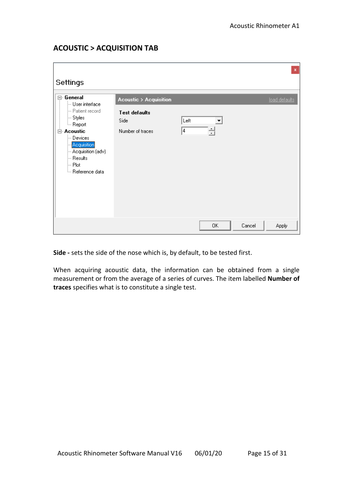#### **ACOUSTIC > ACQUISITION TAB**

| Settings                                                                                                                                                                                                             |                                                                                      |           |        |        | $\mathbf x$   |
|----------------------------------------------------------------------------------------------------------------------------------------------------------------------------------------------------------------------|--------------------------------------------------------------------------------------|-----------|--------|--------|---------------|
| ⊡- General<br>User interface<br>- Patient record<br>├─ Styles<br><sub>i</sub> Report<br><b>⊟ Acoustic</b><br>— Devices<br>-Acquisition<br>- Acquisition (adv)<br>— Results<br> — Plot<br><sup>i</sup> Reference data | <b>Acoustic &gt; Acquisition</b><br><b>Test defaults</b><br>Side<br>Number of traces | Left<br>4 | ▼<br>킄 |        | load defaults |
|                                                                                                                                                                                                                      |                                                                                      |           | 0K     | Cancel | <b>Apply</b>  |

**Side -** sets the side of the nose which is, by default, to be tested first.

When acquiring acoustic data, the information can be obtained from a single measurement or from the average of a series of curves. The item labelled **Number of traces** specifies what is to constitute a single test.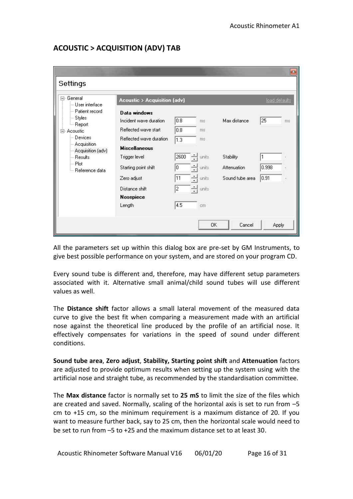#### **ACOUSTIC > ACQUISITION (ADV) TAB**

|                                                                                                                             |                                                 |              |                |                 | $\mathbf{z}$  |
|-----------------------------------------------------------------------------------------------------------------------------|-------------------------------------------------|--------------|----------------|-----------------|---------------|
| Settings                                                                                                                    |                                                 |              |                |                 |               |
| □ General<br>≔ User interface<br>— Patient record                                                                           | <b>Acoustic &gt; Acquisition (adv)</b>          |              |                |                 | load defaults |
| ⊱ Styles<br><sub>i</sub> Report                                                                                             | Data windows<br>Incident wave duration          | 10.8         | ms             | Max distance    | 25<br>ms.     |
| ⊟- Acoustic<br>≔ Devices<br>$-$ Acquisition<br>- Acquisition (adv)<br>i— Results.<br>l… Plot<br><sup>i</sup> Reference data | Reflected wave start<br>Reflected wave duration | 0.8 <br> 1.3 | ms<br>ms       |                 |               |
|                                                                                                                             | <b>Miscellaneous</b><br>Trigger level           | 2600         | units          | Stability       | 1             |
|                                                                                                                             | Starting point shift                            | Ю.           | units          | Attenuation     | 0.998         |
|                                                                                                                             | Zero adjust<br>Distance shift                   | 11<br>÷<br>2 | units<br>units | Sound tube area | 0.91          |
|                                                                                                                             | Nosepiece<br>Length                             | 4.5          | cm             |                 |               |
|                                                                                                                             |                                                 |              | 0K             | Cancel          | Apply         |

All the parameters set up within this dialog box are pre-set by GM Instruments, to give best possible performance on your system, and are stored on your program CD.

Every sound tube is different and, therefore, may have different setup parameters associated with it. Alternative small animal/child sound tubes will use different values as well.

The **Distance shift** factor allows a small lateral movement of the measured data curve to give the best fit when comparing a measurement made with an artificial nose against the theoretical line produced by the profile of an artificial nose. It effectively compensates for variations in the speed of sound under different conditions.

**Sound tube area**, **Zero adjust**, **Stability, Starting point shift** and **Attenuation** factors are adjusted to provide optimum results when setting up the system using with the artificial nose and straight tube, as recommended by the standardisation committee.

The **Max distance** factor is normally set to **25 mS** to limit the size of the files which are created and saved. Normally, scaling of the horizontal axis is set to run from  $-5$ cm to +15 cm, so the minimum requirement is a maximum distance of 20. If you want to measure further back, say to 25 cm, then the horizontal scale would need to be set to run from –5 to +25 and the maximum distance set to at least 30.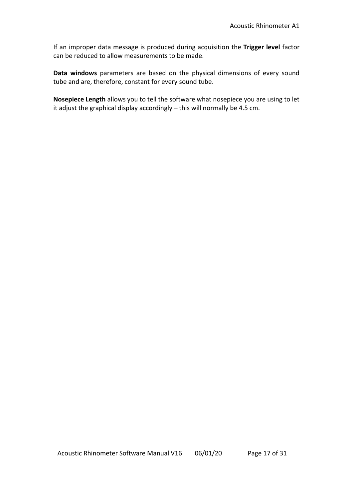If an improper data message is produced during acquisition the **Trigger level** factor can be reduced to allow measurements to be made.

**Data windows** parameters are based on the physical dimensions of every sound tube and are, therefore, constant for every sound tube.

**Nosepiece Length** allows you to tell the software what nosepiece you are using to let it adjust the graphical display accordingly – this will normally be 4.5 cm.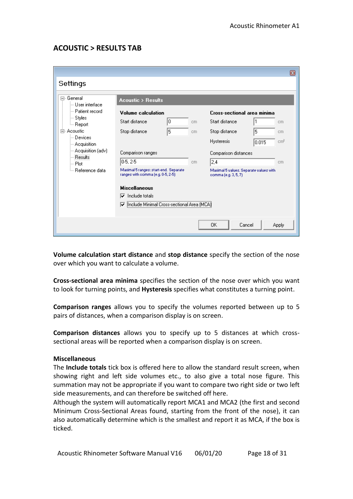#### **ACOUSTIC > RESULTS TAB**

|                                  |                                                                            |     |                                                                |       | B               |
|----------------------------------|----------------------------------------------------------------------------|-----|----------------------------------------------------------------|-------|-----------------|
| Settings                         |                                                                            |     |                                                                |       |                 |
| □ General<br>└─ User interface   | <b>Acoustic &gt; Results</b>                                               |     |                                                                |       |                 |
| — Patient record                 | <b>Volume calculation</b>                                                  |     | Cross-sectional area minima                                    |       |                 |
| ⊱ Styles<br><sup>i…</sup> Report | IO.<br>Start distance.                                                     | cm  | Start distance                                                 | 11    | cm              |
| ⊟- Acoustic                      | 5<br>Stop distance                                                         | cm. | Stop distance                                                  | 5     | cm.             |
| ≔ Devices<br>--- Acquisition     |                                                                            |     | <b>Hysteresis</b>                                              | 0.015 | cm <sup>2</sup> |
| - Acquisition (adv)<br>— Results | Comparison ranges                                                          |     | Comparison distances                                           |       |                 |
| l— Plot                          | $0.5.2 - 5$                                                                | cm  | 2,4                                                            |       | cm              |
| <sup>i</sup> Reference data      | Maximal 5 ranges: start-end. Separate<br>ranges with comma (e.g. 0-5, 2-5) |     | Maximal 5 values. Separate values with<br>comma (e.g. 3, 5, 7) |       |                 |
|                                  | <b>Miscellaneous</b>                                                       |     |                                                                |       |                 |
|                                  | Include totals<br>⊽                                                        |     |                                                                |       |                 |
|                                  | Include Minimal Cross-sectional Area (MCA)<br>▽                            |     |                                                                |       |                 |
|                                  |                                                                            |     |                                                                |       |                 |
|                                  |                                                                            |     | 0K<br>Cancel                                                   |       | <b>Apply</b>    |

**Volume calculation start distance** and **stop distance** specify the section of the nose over which you want to calculate a volume.

**Cross-sectional area minima** specifies the section of the nose over which you want to look for turning points, and **Hysteresis** specifies what constitutes a turning point.

**Comparison ranges** allows you to specify the volumes reported between up to 5 pairs of distances, when a comparison display is on screen.

**Comparison distances** allows you to specify up to 5 distances at which crosssectional areas will be reported when a comparison display is on screen.

#### **Miscellaneous**

The **Include totals** tick box is offered here to allow the standard result screen, when showing right and left side volumes etc., to also give a total nose figure. This summation may not be appropriate if you want to compare two right side or two left side measurements, and can therefore be switched off here.

Although the system will automatically report MCA1 and MCA2 (the first and second Minimum Cross-Sectional Areas found, starting from the front of the nose), it can also automatically determine which is the smallest and report it as MCA, if the box is ticked.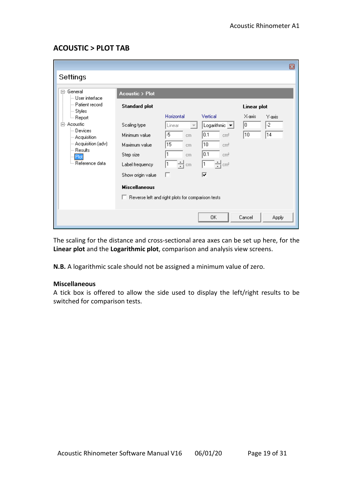#### **ACOUSTIC > PLOT TAB**

|                                |                                                     |                                    |                                   |             | ▣      |
|--------------------------------|-----------------------------------------------------|------------------------------------|-----------------------------------|-------------|--------|
| Settings                       |                                                     |                                    |                                   |             |        |
| □ General<br>└─ User interface | <b>Acoustic &gt; Plot</b>                           |                                    |                                   |             |        |
| — Patient record<br>⊱ Styles   | <b>Standard plot</b>                                |                                    |                                   | Linear plot |        |
| <sup>i…</sup> Report           |                                                     | Horizontal                         | Vertical                          | X-axis      | Y-axis |
| 白- Acoustic<br>⊟ Devices       | Scaling type                                        | Linear<br>$\overline{\phantom{a}}$ | Logarithmic $\vert \bullet \vert$ | 10          | -2     |
| $-$ Acquisition                | Minimum value                                       | -5<br>cm                           | 0.1<br>cm <sup>2</sup>            | 10          | 14     |
| Acquisition (adv) …            | Maximum value                                       | 15<br>cm                           | 10<br>cm <sup>2</sup>             |             |        |
| i— Results.<br>Plot            | Step size                                           | 1<br>cm                            | 0.1<br>cm <sup>2</sup>            |             |        |
| <sup>i</sup> Reference data    | Label frequency                                     | 싂m<br>1                            | ÷¦cm²<br>1                        |             |        |
|                                | Show origin value                                   | г                                  | ⊽                                 |             |        |
|                                | <b>Miscellaneous</b>                                |                                    |                                   |             |        |
|                                | □ Reverse left and right plots for comparison tests |                                    |                                   |             |        |
|                                |                                                     |                                    |                                   |             |        |
|                                |                                                     |                                    | OK.                               | Cancel      | Apply  |
|                                |                                                     |                                    |                                   |             |        |

The scaling for the distance and cross-sectional area axes can be set up here, for the **Linear plot** and the **Logarithmic plot**, comparison and analysis view screens.

**N.B.** A logarithmic scale should not be assigned a minimum value of zero.

#### **Miscellaneous**

A tick box is offered to allow the side used to display the left/right results to be switched for comparison tests.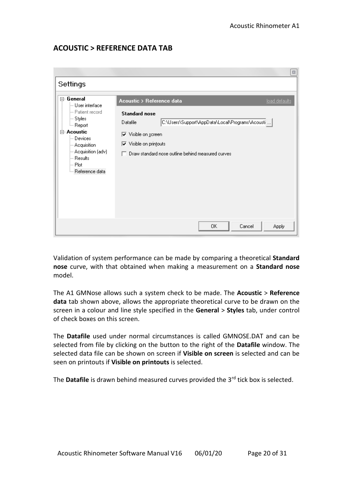#### **ACOUSTIC > REFERENCE DATA TAB**

| Settings                                                                                                                                                                                                                   |                                                                                                                                                                                                                                                                     |
|----------------------------------------------------------------------------------------------------------------------------------------------------------------------------------------------------------------------------|---------------------------------------------------------------------------------------------------------------------------------------------------------------------------------------------------------------------------------------------------------------------|
| ⊟- General<br>User interface<br>- Patient record<br>⊱ Styles<br><sup>≗…</sup> Report<br><b>⊟ Acoustic</b><br>— Devices<br>-- Acquisition<br>--- Acquisition (adv)<br>— Results<br>i--- Plot<br><sup>i</sup> Reference data | Acoustic > Reference data<br>load defaults<br><b>Standard nose</b><br>C:\Users\Support\AppData\Local\Programs\Acousti   <br>Datafile<br>$\overline{\nabla}$ Visible on screen<br>$\nabla$ Visible on printouts<br>Draw standard nose outline behind measured curves |
|                                                                                                                                                                                                                            | 0K<br>Cancel<br>Apply                                                                                                                                                                                                                                               |

Validation of system performance can be made by comparing a theoretical **Standard nose** curve, with that obtained when making a measurement on a **Standard nose** model.

The A1 GMNose allows such a system check to be made. The **Acoustic** > **Reference data** tab shown above, allows the appropriate theoretical curve to be drawn on the screen in a colour and line style specified in the **General** > **Styles** tab, under control of check boxes on this screen.

The **Datafile** used under normal circumstances is called GMNOSE.DAT and can be selected from file by clicking on the button to the right of the **Datafile** window. The selected data file can be shown on screen if **Visible on screen** is selected and can be seen on printouts if **Visible on printouts** is selected.

The **Datafile** is drawn behind measured curves provided the 3rd tick box is selected.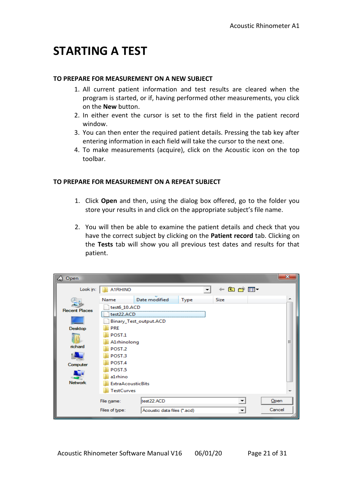### **STARTING A TEST**

#### **TO PREPARE FOR MEASUREMENT ON A NEW SUBJECT**

- 1. All current patient information and test results are cleared when the program is started, or if, having performed other measurements, you click on the **New** button.
- 2. In either event the cursor is set to the first field in the patient record window.
- 3. You can then enter the required patient details. Pressing the tab key after entering information in each field will take the cursor to the next one.
- 4. To make measurements (acquire), click on the Acoustic icon on the top toolbar.

#### **TO PREPARE FOR MEASUREMENT ON A REPEAT SUBJECT**

- 1. Click **Open** and then, using the dialog box offered, go to the folder you store your results in and click on the appropriate subject's file name.
- 2. You will then be able to examine the patient details and check that you have the correct subject by clicking on the **Patient record** tab. Clicking on the **Tests** tab will show you all previous test dates and results for that patient.

| △ Open               |                          |                             |      |                | x      |
|----------------------|--------------------------|-----------------------------|------|----------------|--------|
| Look in:             | A1RHINO                  |                             | ▼    | $+$ a at $E$ . |        |
|                      | Name                     | Date modified               | Type | <b>Size</b>    | ∸      |
| <b>Recent Places</b> | test6_10.ACD             |                             |      |                |        |
|                      | test22.ACD               |                             |      |                |        |
|                      |                          | Binary_Test_output.ACD      |      |                |        |
| Desktop              | <b>PRE</b>               |                             |      |                |        |
|                      | POST <sub>.1</sub>       |                             |      |                |        |
| richard              | A1rhinolong              |                             |      |                | Ξ      |
|                      | POST.2                   |                             |      |                |        |
|                      | POST.3                   |                             |      |                |        |
| Computer             | POST.4                   |                             |      |                |        |
|                      | POST.5                   |                             |      |                |        |
|                      | a1rhino                  |                             |      |                |        |
| <b>Network</b>       | <b>ExtraAcousticBits</b> |                             |      |                |        |
|                      | <b>TestCurves</b>        |                             |      |                |        |
|                      | File name:               | test22.ACD                  |      |                | Open   |
|                      | Files of type:           | Acoustic data files (*.acd) |      |                | Cancel |
|                      |                          |                             |      |                |        |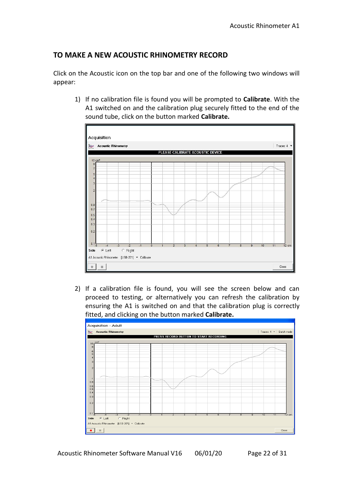#### **TO MAKE A NEW ACOUSTIC RHINOMETRY RECORD**

Click on the Acoustic icon on the top bar and one of the following two windows will appear:

1) If no calibration file is found you will be prompted to **Calibrate**. With the A1 switched on and the calibration plug securely fitted to the end of the sound tube, click on the button marked **Calibrate.**



2) If a calibration file is found, you will see the screen below and can proceed to testing, or alternatively you can refresh the calibration by ensuring the A1 is switched on and that the calibration plug is correctly fitted, and clicking on the button marked **Calibrate.**



Acoustic Rhinometer Software Manual V16 06/01/20 Page 22 of 31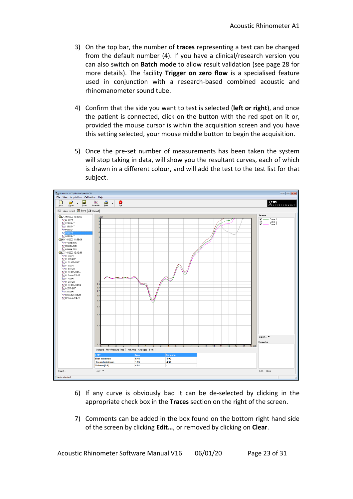- 3) On the top bar, the number of **traces** representing a test can be changed from the default number (4). If you have a clinical/research version you can also switch on **Batch mode** to allow result validation (see page 28 for more details). The facility **Trigger on zero flow** is a specialised feature used in conjunction with a research-based combined acoustic and rhinomanometer sound tube.
- 4) Confirm that the side you want to test is selected (**left or right**), and once the patient is connected, click on the button with the red spot on it or, provided the mouse cursor is within the acquisition screen and you have this setting selected, your mouse middle button to begin the acquisition.
- 5) Once the pre-set number of measurements has been taken the system will stop taking in data, will show you the resultant curves, each of which is drawn in a different colour, and will add the test to the test list for that subject.



- 6) If any curve is obviously bad it can be de-selected by clicking in the appropriate check box in the **Traces** section on the right of the screen.
- 7) Comments can be added in the box found on the bottom right hand side of the screen by clicking **Edit…**, or removed by clicking on **Clear**.

Acoustic Rhinometer Software Manual V16 06/01/20 Page 23 of 31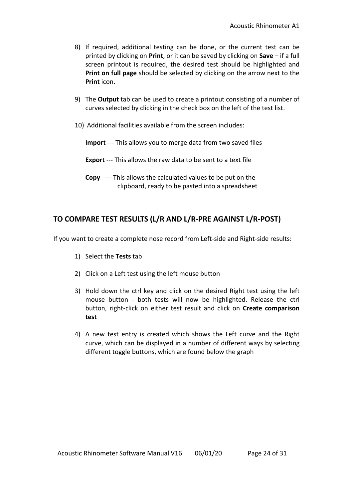- 8) If required, additional testing can be done, or the current test can be printed by clicking on **Print**, or it can be saved by clicking on **Save** – if a full screen printout is required, the desired test should be highlighted and **Print on full page** should be selected by clicking on the arrow next to the **Print** icon.
- 9) The **Output** tab can be used to create a printout consisting of a number of curves selected by clicking in the check box on the left of the test list.
- 10) Additional facilities available from the screen includes:
	- **Import** --- This allows you to merge data from two saved files
	- **Export** --- This allows the raw data to be sent to a text file
	- **Copy** --- This allows the calculated values to be put on the clipboard, ready to be pasted into a spreadsheet

#### **TO COMPARE TEST RESULTS (L/R AND L/R-PRE AGAINST L/R-POST)**

If you want to create a complete nose record from Left-side and Right-side results:

- 1) Select the **Tests** tab
- 2) Click on a Left test using the left mouse button
- 3) Hold down the ctrl key and click on the desired Right test using the left mouse button - both tests will now be highlighted. Release the ctrl button, right-click on either test result and click on **Create comparison test**
- 4) A new test entry is created which shows the Left curve and the Right curve, which can be displayed in a number of different ways by selecting different toggle buttons, which are found below the graph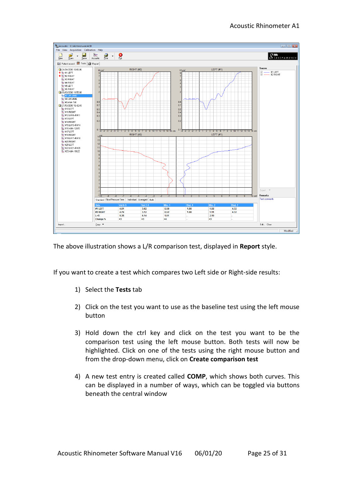

The above illustration shows a L/R comparison test, displayed in **Report** style.

If you want to create a test which compares two Left side or Right-side results:

- 1) Select the **Tests** tab
- 2) Click on the test you want to use as the baseline test using the left mouse button
- 3) Hold down the ctrl key and click on the test you want to be the comparison test using the left mouse button. Both tests will now be highlighted. Click on one of the tests using the right mouse button and from the drop-down menu, click on **Create comparison test**
- 4) A new test entry is created called **COMP**, which shows both curves. This can be displayed in a number of ways, which can be toggled via buttons beneath the central window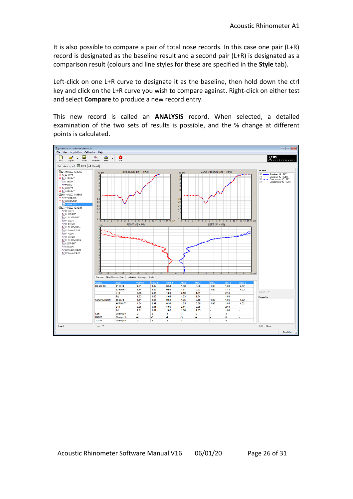It is also possible to compare a pair of total nose records. In this case one pair (L+R) record is designated as the baseline result and a second pair (L+R) is designated as a comparison result (colours and line styles for these are specified in the **Style** tab).

Left-click on one L+R curve to designate it as the baseline, then hold down the ctrl key and click on the L+R curve you wish to compare against. Right-click on either test and select **Compare** to produce a new record entry.

This new record is called an **ANALYSIS** record. When selected, a detailed examination of the two sets of results is possible, and the % change at different points is calculated.

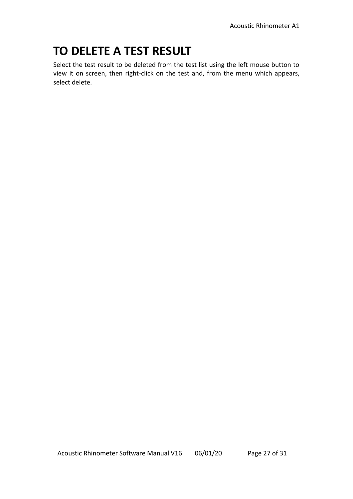## **TO DELETE A TEST RESULT**

Select the test result to be deleted from the test list using the left mouse button to view it on screen, then right-click on the test and, from the menu which appears, select delete.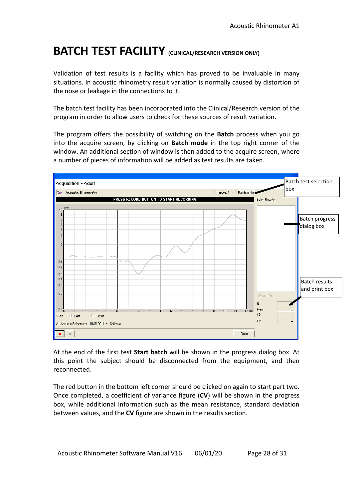## **BATCH TEST FACILITY (CLINICAL/RESEARCH VERSION ONLY)**

Validation of test results is a facility which has proved to be invaluable in many situations. In acoustic rhinometry result variation is normally caused by distortion of the nose or leakage in the connections to it.

The batch test facility has been incorporated into the Clinical/Research version of the program in order to allow users to check for these sources of result variation.

The program offers the possibility of switching on the **Batch** process when you go into the acquire screen, by clicking on **Batch mode** in the top right corner of the window. An additional section of window is then added to the acquire screen, where a number of pieces of information will be added as test results are taken.



At the end of the first test **Start batch** will be shown in the progress dialog box. At this point the subject should be disconnected from the equipment, and then reconnected.

The red button in the bottom left corner should be clicked on again to start part two. Once completed, a coefficient of variance figure (**CV**) will be shown in the progress box, while additional information such as the mean resistance, standard deviation between values, and the **CV** figure are shown in the results section.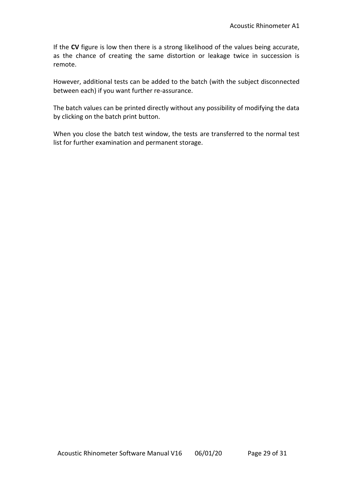If the **CV** figure is low then there is a strong likelihood of the values being accurate, as the chance of creating the same distortion or leakage twice in succession is remote.

However, additional tests can be added to the batch (with the subject disconnected between each) if you want further re-assurance.

The batch values can be printed directly without any possibility of modifying the data by clicking on the batch print button.

When you close the batch test window, the tests are transferred to the normal test list for further examination and permanent storage.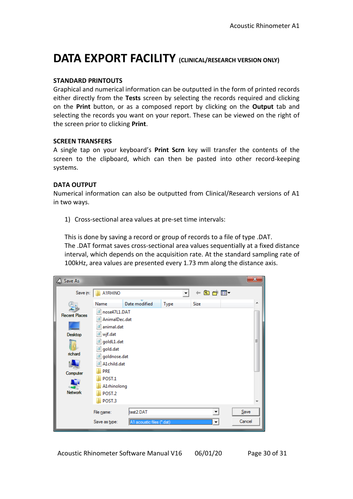## **DATA EXPORT FACILITY (CLINICAL/RESEARCH VERSION ONLY)**

#### **STANDARD PRINTOUTS**

Graphical and numerical information can be outputted in the form of printed records either directly from the **Tests** screen by selecting the records required and clicking on the **Print** button, or as a composed report by clicking on the **Output** tab and selecting the records you want on your report. These can be viewed on the right of the screen prior to clicking **Print**.

#### **SCREEN TRANSFERS**

A single tap on your keyboard's **Print Scrn** key will transfer the contents of the screen to the clipboard, which can then be pasted into other record-keeping systems.

#### **DATA OUTPUT**

Numerical information can also be outputted from Clinical/Research versions of A1 in two ways.

1) Cross-sectional area values at pre-set time intervals:

This is done by saving a record or group of records to a file of type .DAT. The .DAT format saves cross-sectional area values sequentially at a fixed distance interval, which depends on the acquisition rate. At the standard sampling rate of 100kHz, area values are presented every 1.73 mm along the distance axis.

| Save As                                                |                                                                                                                                                 |                                        |                          |             | $\mathbf{x}$   |  |
|--------------------------------------------------------|-------------------------------------------------------------------------------------------------------------------------------------------------|----------------------------------------|--------------------------|-------------|----------------|--|
| Save in:                                               | A1RHINO                                                                                                                                         |                                        | $\overline{\phantom{a}}$ | ←自合國▼       |                |  |
| <b>Recent Places</b><br>Desktop<br>richard<br>Computer | Name<br>nose47L1.DAT<br>AnimalDec.dat<br>animal.dat<br>wjf.dat<br>goldL1.dat<br>gold.dat<br>goldnose.dat<br>A1child.dat<br><b>PRE</b><br>POST.1 | Date modified                          | <b>Type</b>              | <b>Size</b> | ▴<br>Ξ         |  |
| <b>Network</b>                                         | A1rhinolong<br>POST.2<br>POST.3<br>File name:<br>Save as type:                                                                                  | test2.DAT<br>A1 acoustic files (*.dat) |                          |             | Save<br>Cancel |  |

Acoustic Rhinometer Software Manual V16 06/01/20 Page 30 of 31